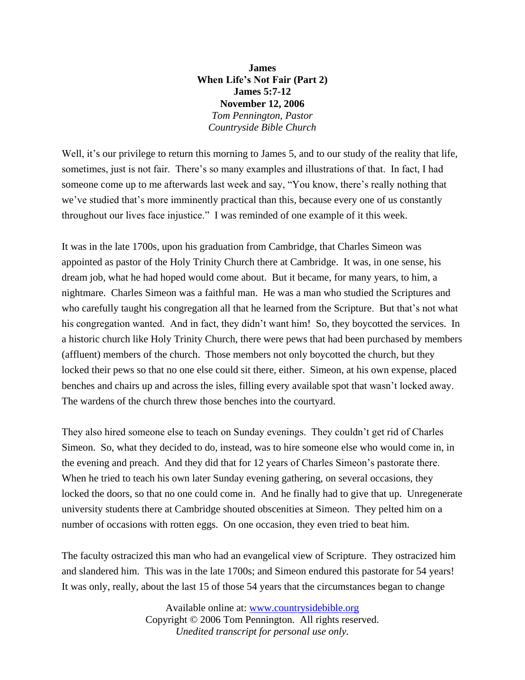**James When Life's Not Fair (Part 2) James 5:7-12 November 12, 2006** *Tom Pennington, Pastor Countryside Bible Church*

Well, it's our privilege to return this morning to James 5, and to our study of the reality that life, sometimes, just is not fair. There's so many examples and illustrations of that. In fact, I had someone come up to me afterwards last week and say, "You know, there's really nothing that we've studied that's more imminently practical than this, because every one of us constantly throughout our lives face injustice." I was reminded of one example of it this week.

It was in the late 1700s, upon his graduation from Cambridge, that Charles Simeon was appointed as pastor of the Holy Trinity Church there at Cambridge. It was, in one sense, his dream job, what he had hoped would come about. But it became, for many years, to him, a nightmare. Charles Simeon was a faithful man. He was a man who studied the Scriptures and who carefully taught his congregation all that he learned from the Scripture. But that's not what his congregation wanted. And in fact, they didn't want him! So, they boycotted the services. In a historic church like Holy Trinity Church, there were pews that had been purchased by members (affluent) members of the church. Those members not only boycotted the church, but they locked their pews so that no one else could sit there, either. Simeon, at his own expense, placed benches and chairs up and across the isles, filling every available spot that wasn't locked away. The wardens of the church threw those benches into the courtyard.

They also hired someone else to teach on Sunday evenings. They couldn't get rid of Charles Simeon. So, what they decided to do, instead, was to hire someone else who would come in, in the evening and preach. And they did that for 12 years of Charles Simeon's pastorate there. When he tried to teach his own later Sunday evening gathering, on several occasions, they locked the doors, so that no one could come in. And he finally had to give that up. Unregenerate university students there at Cambridge shouted obscenities at Simeon. They pelted him on a number of occasions with rotten eggs. On one occasion, they even tried to beat him.

The faculty ostracized this man who had an evangelical view of Scripture. They ostracized him and slandered him. This was in the late 1700s; and Simeon endured this pastorate for 54 years! It was only, really, about the last 15 of those 54 years that the circumstances began to change

> Available online at: [www.countrysidebible.org](http://www.countrysidebible.org/) Copyright © 2006 Tom Pennington. All rights reserved. *Unedited transcript for personal use only.*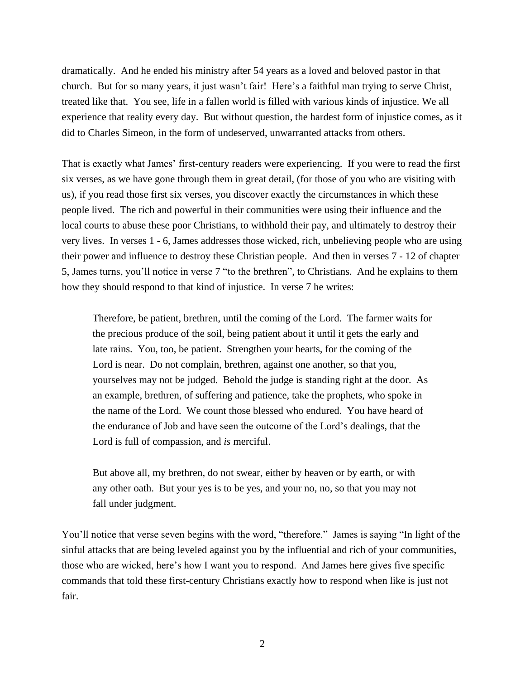dramatically. And he ended his ministry after 54 years as a loved and beloved pastor in that church. But for so many years, it just wasn't fair! Here's a faithful man trying to serve Christ, treated like that. You see, life in a fallen world is filled with various kinds of injustice. We all experience that reality every day. But without question, the hardest form of injustice comes, as it did to Charles Simeon, in the form of undeserved, unwarranted attacks from others.

That is exactly what James' first-century readers were experiencing. If you were to read the first six verses, as we have gone through them in great detail, (for those of you who are visiting with us), if you read those first six verses, you discover exactly the circumstances in which these people lived. The rich and powerful in their communities were using their influence and the local courts to abuse these poor Christians, to withhold their pay, and ultimately to destroy their very lives. In verses 1 - 6, James addresses those wicked, rich, unbelieving people who are using their power and influence to destroy these Christian people. And then in verses 7 - 12 of chapter 5, James turns, you'll notice in verse 7 "to the brethren", to Christians. And he explains to them how they should respond to that kind of injustice. In verse 7 he writes:

Therefore, be patient, brethren, until the coming of the Lord. The farmer waits for the precious produce of the soil, being patient about it until it gets the early and late rains. You, too, be patient. Strengthen your hearts, for the coming of the Lord is near. Do not complain, brethren, against one another, so that you, yourselves may not be judged. Behold the judge is standing right at the door. As an example, brethren, of suffering and patience, take the prophets, who spoke in the name of the Lord. We count those blessed who endured. You have heard of the endurance of Job and have seen the outcome of the Lord's dealings, that the Lord is full of compassion, and *is* merciful.

But above all, my brethren, do not swear, either by heaven or by earth, or with any other oath. But your yes is to be yes, and your no, no, so that you may not fall under judgment.

You'll notice that verse seven begins with the word, "therefore." James is saying "In light of the sinful attacks that are being leveled against you by the influential and rich of your communities, those who are wicked, here's how I want you to respond. And James here gives five specific commands that told these first-century Christians exactly how to respond when like is just not fair.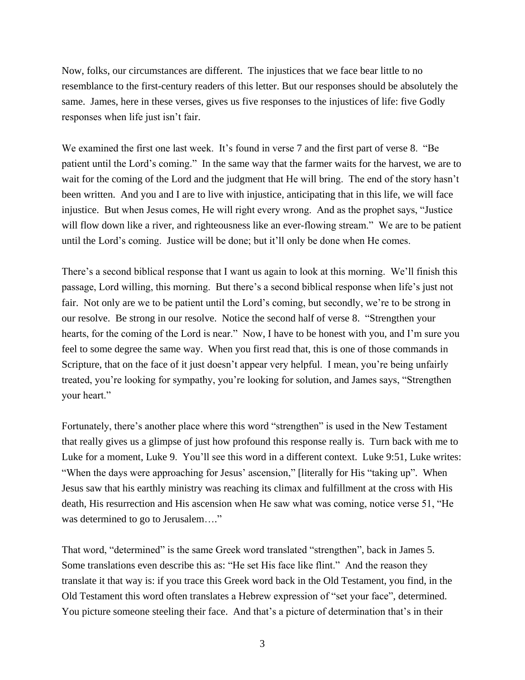Now, folks, our circumstances are different. The injustices that we face bear little to no resemblance to the first-century readers of this letter. But our responses should be absolutely the same. James, here in these verses, gives us five responses to the injustices of life: five Godly responses when life just isn't fair.

We examined the first one last week. It's found in verse 7 and the first part of verse 8. "Be patient until the Lord's coming." In the same way that the farmer waits for the harvest, we are to wait for the coming of the Lord and the judgment that He will bring. The end of the story hasn't been written. And you and I are to live with injustice, anticipating that in this life, we will face injustice. But when Jesus comes, He will right every wrong. And as the prophet says, "Justice will flow down like a river, and righteousness like an ever-flowing stream." We are to be patient until the Lord's coming. Justice will be done; but it'll only be done when He comes.

There's a second biblical response that I want us again to look at this morning. We'll finish this passage, Lord willing, this morning. But there's a second biblical response when life's just not fair. Not only are we to be patient until the Lord's coming, but secondly, we're to be strong in our resolve. Be strong in our resolve. Notice the second half of verse 8. "Strengthen your hearts, for the coming of the Lord is near." Now, I have to be honest with you, and I'm sure you feel to some degree the same way. When you first read that, this is one of those commands in Scripture, that on the face of it just doesn't appear very helpful. I mean, you're being unfairly treated, you're looking for sympathy, you're looking for solution, and James says, "Strengthen your heart."

Fortunately, there's another place where this word "strengthen" is used in the New Testament that really gives us a glimpse of just how profound this response really is. Turn back with me to Luke for a moment, Luke 9. You'll see this word in a different context. Luke 9:51, Luke writes: "When the days were approaching for Jesus' ascension," [literally for His "taking up". When Jesus saw that his earthly ministry was reaching its climax and fulfillment at the cross with His death, His resurrection and His ascension when He saw what was coming, notice verse 51, "He was determined to go to Jerusalem...."

That word, "determined" is the same Greek word translated "strengthen", back in James 5. Some translations even describe this as: "He set His face like flint." And the reason they translate it that way is: if you trace this Greek word back in the Old Testament, you find, in the Old Testament this word often translates a Hebrew expression of "set your face", determined. You picture someone steeling their face. And that's a picture of determination that's in their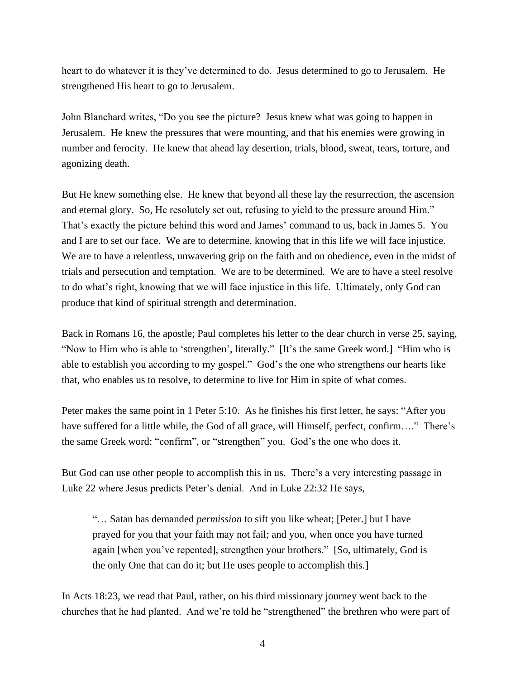heart to do whatever it is they've determined to do. Jesus determined to go to Jerusalem. He strengthened His heart to go to Jerusalem.

John Blanchard writes, "Do you see the picture? Jesus knew what was going to happen in Jerusalem. He knew the pressures that were mounting, and that his enemies were growing in number and ferocity. He knew that ahead lay desertion, trials, blood, sweat, tears, torture, and agonizing death.

But He knew something else. He knew that beyond all these lay the resurrection, the ascension and eternal glory. So, He resolutely set out, refusing to yield to the pressure around Him." That's exactly the picture behind this word and James' command to us, back in James 5. You and I are to set our face. We are to determine, knowing that in this life we will face injustice. We are to have a relentless, unwavering grip on the faith and on obedience, even in the midst of trials and persecution and temptation. We are to be determined. We are to have a steel resolve to do what's right, knowing that we will face injustice in this life. Ultimately, only God can produce that kind of spiritual strength and determination.

Back in Romans 16, the apostle; Paul completes his letter to the dear church in verse 25, saying, "Now to Him who is able to 'strengthen', literally." [It's the same Greek word.] "Him who is able to establish you according to my gospel." God's the one who strengthens our hearts like that, who enables us to resolve, to determine to live for Him in spite of what comes.

Peter makes the same point in 1 Peter 5:10. As he finishes his first letter, he says: "After you have suffered for a little while, the God of all grace, will Himself, perfect, confirm…." There's the same Greek word: "confirm", or "strengthen" you. God's the one who does it.

But God can use other people to accomplish this in us. There's a very interesting passage in Luke 22 where Jesus predicts Peter's denial. And in Luke 22:32 He says,

"… Satan has demanded *permission* to sift you like wheat; [Peter.] but I have prayed for you that your faith may not fail; and you, when once you have turned again [when you've repented], strengthen your brothers." [So, ultimately, God is the only One that can do it; but He uses people to accomplish this.]

In Acts 18:23, we read that Paul, rather, on his third missionary journey went back to the churches that he had planted. And we're told he "strengthened" the brethren who were part of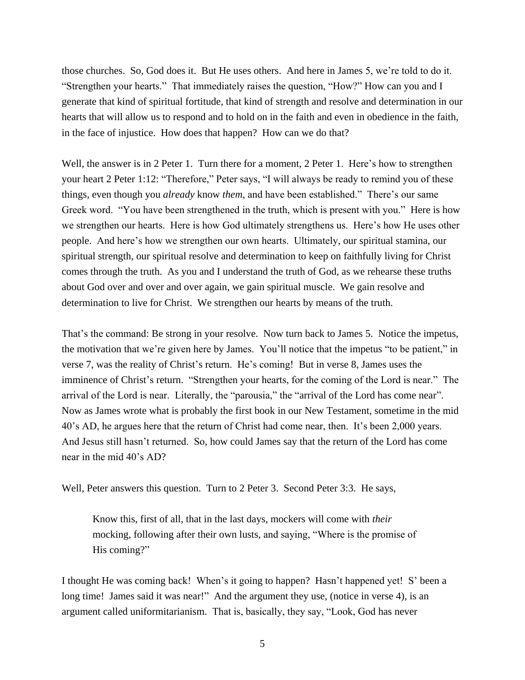those churches. So, God does it. But He uses others. And here in James 5, we're told to do it. "Strengthen your hearts." That immediately raises the question, "How?" How can you and I generate that kind of spiritual fortitude, that kind of strength and resolve and determination in our hearts that will allow us to respond and to hold on in the faith and even in obedience in the faith, in the face of injustice. How does that happen? How can we do that?

Well, the answer is in 2 Peter 1. Turn there for a moment, 2 Peter 1. Here's how to strengthen your heart 2 Peter 1:12: "Therefore," Peter says, "I will always be ready to remind you of these things, even though you *already* know *them*, and have been established." There's our same Greek word. "You have been strengthened in the truth, which is present with you." Here is how we strengthen our hearts. Here is how God ultimately strengthens us. Here's how He uses other people. And here's how we strengthen our own hearts. Ultimately, our spiritual stamina, our spiritual strength, our spiritual resolve and determination to keep on faithfully living for Christ comes through the truth. As you and I understand the truth of God, as we rehearse these truths about God over and over and over again, we gain spiritual muscle. We gain resolve and determination to live for Christ. We strengthen our hearts by means of the truth.

That's the command: Be strong in your resolve. Now turn back to James 5. Notice the impetus, the motivation that we're given here by James. You'll notice that the impetus "to be patient," in verse 7, was the reality of Christ's return. He's coming! But in verse 8, James uses the imminence of Christ's return. "Strengthen your hearts, for the coming of the Lord is near." The arrival of the Lord is near. Literally, the "parousia," the "arrival of the Lord has come near". Now as James wrote what is probably the first book in our New Testament, sometime in the mid 40's AD, he argues here that the return of Christ had come near, then. It's been 2,000 years. And Jesus still hasn't returned. So, how could James say that the return of the Lord has come near in the mid 40's AD?

Well, Peter answers this question. Turn to 2 Peter 3. Second Peter 3:3. He says,

Know this, first of all, that in the last days, mockers will come with *their* mocking, following after their own lusts, and saying, "Where is the promise of His coming?"

I thought He was coming back! When's it going to happen? Hasn't happened yet! S' been a long time! James said it was near!" And the argument they use, (notice in verse 4), is an argument called uniformitarianism. That is, basically, they say, "Look, God has never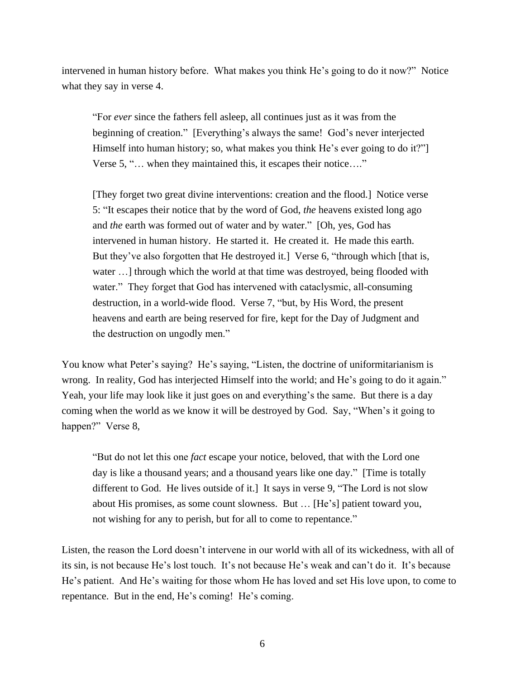intervened in human history before. What makes you think He's going to do it now?" Notice what they say in verse 4.

"For *ever* since the fathers fell asleep, all continues just as it was from the beginning of creation." [Everything's always the same! God's never interjected Himself into human history; so, what makes you think He's ever going to do it?" Verse 5, "… when they maintained this, it escapes their notice…."

[They forget two great divine interventions: creation and the flood.] Notice verse 5: "It escapes their notice that by the word of God, *the* heavens existed long ago and *the* earth was formed out of water and by water." [Oh, yes, God has intervened in human history. He started it. He created it. He made this earth. But they've also forgotten that He destroyed it.] Verse 6, "through which [that is, water …] through which the world at that time was destroyed, being flooded with water." They forget that God has intervened with cataclysmic, all-consuming destruction, in a world-wide flood. Verse 7, "but, by His Word, the present heavens and earth are being reserved for fire, kept for the Day of Judgment and the destruction on ungodly men."

You know what Peter's saying? He's saying, "Listen, the doctrine of uniformitarianism is wrong. In reality, God has interjected Himself into the world; and He's going to do it again." Yeah, your life may look like it just goes on and everything's the same. But there is a day coming when the world as we know it will be destroyed by God. Say, "When's it going to happen?" Verse 8,

"But do not let this one *fact* escape your notice, beloved, that with the Lord one day is like a thousand years; and a thousand years like one day." [Time is totally different to God. He lives outside of it.] It says in verse 9, "The Lord is not slow about His promises, as some count slowness. But … [He's] patient toward you, not wishing for any to perish, but for all to come to repentance."

Listen, the reason the Lord doesn't intervene in our world with all of its wickedness, with all of its sin, is not because He's lost touch. It's not because He's weak and can't do it. It's because He's patient. And He's waiting for those whom He has loved and set His love upon, to come to repentance. But in the end, He's coming! He's coming.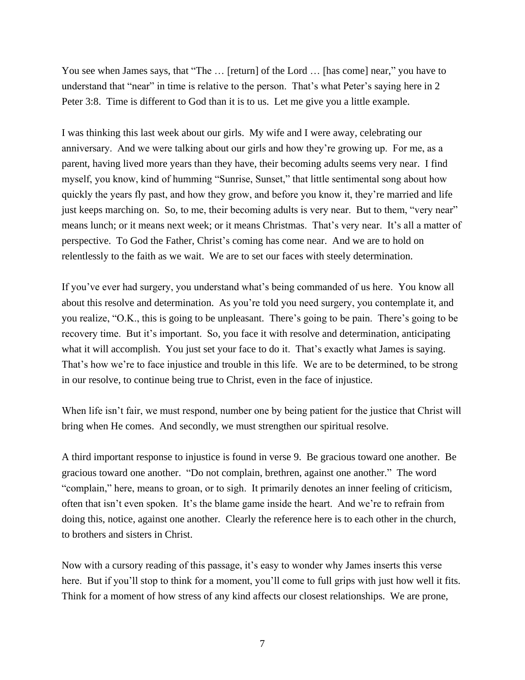You see when James says, that "The ... [return] of the Lord ... [has come] near," you have to understand that "near" in time is relative to the person. That's what Peter's saying here in 2 Peter 3:8. Time is different to God than it is to us. Let me give you a little example.

I was thinking this last week about our girls. My wife and I were away, celebrating our anniversary. And we were talking about our girls and how they're growing up. For me, as a parent, having lived more years than they have, their becoming adults seems very near. I find myself, you know, kind of humming "Sunrise, Sunset," that little sentimental song about how quickly the years fly past, and how they grow, and before you know it, they're married and life just keeps marching on. So, to me, their becoming adults is very near. But to them, "very near" means lunch; or it means next week; or it means Christmas. That's very near. It's all a matter of perspective. To God the Father, Christ's coming has come near. And we are to hold on relentlessly to the faith as we wait. We are to set our faces with steely determination.

If you've ever had surgery, you understand what's being commanded of us here. You know all about this resolve and determination. As you're told you need surgery, you contemplate it, and you realize, "O.K., this is going to be unpleasant. There's going to be pain. There's going to be recovery time. But it's important. So, you face it with resolve and determination, anticipating what it will accomplish. You just set your face to do it. That's exactly what James is saying. That's how we're to face injustice and trouble in this life. We are to be determined, to be strong in our resolve, to continue being true to Christ, even in the face of injustice.

When life isn't fair, we must respond, number one by being patient for the justice that Christ will bring when He comes. And secondly, we must strengthen our spiritual resolve.

A third important response to injustice is found in verse 9. Be gracious toward one another. Be gracious toward one another. "Do not complain, brethren, against one another." The word "complain," here, means to groan, or to sigh. It primarily denotes an inner feeling of criticism, often that isn't even spoken. It's the blame game inside the heart. And we're to refrain from doing this, notice, against one another. Clearly the reference here is to each other in the church, to brothers and sisters in Christ.

Now with a cursory reading of this passage, it's easy to wonder why James inserts this verse here. But if you'll stop to think for a moment, you'll come to full grips with just how well it fits. Think for a moment of how stress of any kind affects our closest relationships. We are prone,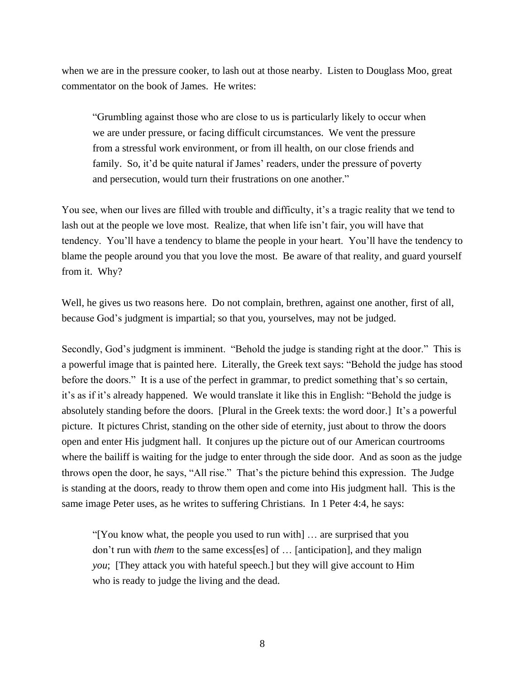when we are in the pressure cooker, to lash out at those nearby. Listen to Douglass Moo, great commentator on the book of James. He writes:

"Grumbling against those who are close to us is particularly likely to occur when we are under pressure, or facing difficult circumstances. We vent the pressure from a stressful work environment, or from ill health, on our close friends and family. So, it'd be quite natural if James' readers, under the pressure of poverty and persecution, would turn their frustrations on one another."

You see, when our lives are filled with trouble and difficulty, it's a tragic reality that we tend to lash out at the people we love most. Realize, that when life isn't fair, you will have that tendency. You'll have a tendency to blame the people in your heart. You'll have the tendency to blame the people around you that you love the most. Be aware of that reality, and guard yourself from it. Why?

Well, he gives us two reasons here. Do not complain, brethren, against one another, first of all, because God's judgment is impartial; so that you, yourselves, may not be judged.

Secondly, God's judgment is imminent. "Behold the judge is standing right at the door." This is a powerful image that is painted here. Literally, the Greek text says: "Behold the judge has stood before the doors." It is a use of the perfect in grammar, to predict something that's so certain, it's as if it's already happened. We would translate it like this in English: "Behold the judge is absolutely standing before the doors. [Plural in the Greek texts: the word door.] It's a powerful picture. It pictures Christ, standing on the other side of eternity, just about to throw the doors open and enter His judgment hall. It conjures up the picture out of our American courtrooms where the bailiff is waiting for the judge to enter through the side door. And as soon as the judge throws open the door, he says, "All rise." That's the picture behind this expression. The Judge is standing at the doors, ready to throw them open and come into His judgment hall. This is the same image Peter uses, as he writes to suffering Christians. In 1 Peter 4:4, he says:

"[You know what, the people you used to run with] … are surprised that you don't run with *them* to the same excess[es] of … [anticipation], and they malign *you*; [They attack you with hateful speech.] but they will give account to Him who is ready to judge the living and the dead.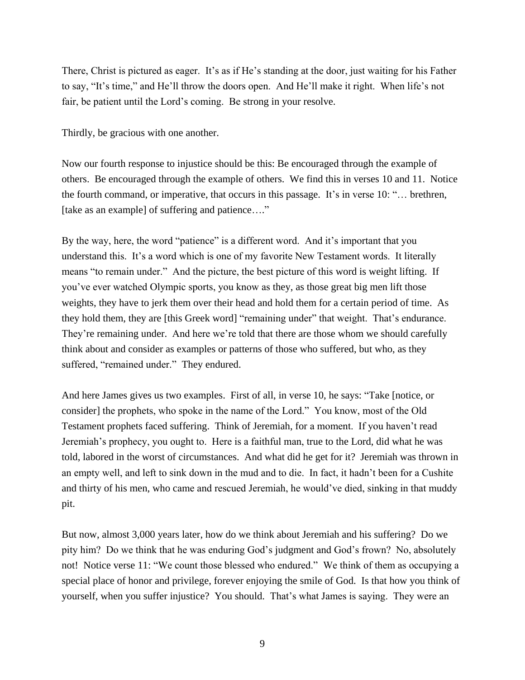There, Christ is pictured as eager. It's as if He's standing at the door, just waiting for his Father to say, "It's time," and He'll throw the doors open. And He'll make it right. When life's not fair, be patient until the Lord's coming. Be strong in your resolve.

Thirdly, be gracious with one another.

Now our fourth response to injustice should be this: Be encouraged through the example of others. Be encouraged through the example of others. We find this in verses 10 and 11. Notice the fourth command, or imperative, that occurs in this passage. It's in verse 10: "… brethren, [take as an example] of suffering and patience...."

By the way, here, the word "patience" is a different word. And it's important that you understand this. It's a word which is one of my favorite New Testament words. It literally means "to remain under." And the picture, the best picture of this word is weight lifting. If you've ever watched Olympic sports, you know as they, as those great big men lift those weights, they have to jerk them over their head and hold them for a certain period of time. As they hold them, they are [this Greek word] "remaining under" that weight. That's endurance. They're remaining under. And here we're told that there are those whom we should carefully think about and consider as examples or patterns of those who suffered, but who, as they suffered, "remained under." They endured.

And here James gives us two examples. First of all, in verse 10, he says: "Take [notice, or consider] the prophets, who spoke in the name of the Lord." You know, most of the Old Testament prophets faced suffering. Think of Jeremiah, for a moment. If you haven't read Jeremiah's prophecy, you ought to. Here is a faithful man, true to the Lord, did what he was told, labored in the worst of circumstances. And what did he get for it? Jeremiah was thrown in an empty well, and left to sink down in the mud and to die. In fact, it hadn't been for a Cushite and thirty of his men, who came and rescued Jeremiah, he would've died, sinking in that muddy pit.

But now, almost 3,000 years later, how do we think about Jeremiah and his suffering? Do we pity him? Do we think that he was enduring God's judgment and God's frown? No, absolutely not! Notice verse 11: "We count those blessed who endured." We think of them as occupying a special place of honor and privilege, forever enjoying the smile of God. Is that how you think of yourself, when you suffer injustice? You should. That's what James is saying. They were an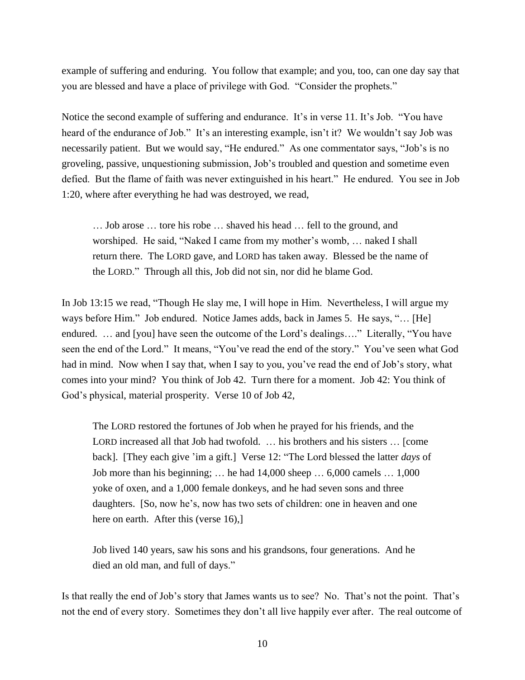example of suffering and enduring. You follow that example; and you, too, can one day say that you are blessed and have a place of privilege with God. "Consider the prophets."

Notice the second example of suffering and endurance. It's in verse 11. It's Job. "You have heard of the endurance of Job." It's an interesting example, isn't it? We wouldn't say Job was necessarily patient. But we would say, "He endured." As one commentator says, "Job's is no groveling, passive, unquestioning submission, Job's troubled and question and sometime even defied. But the flame of faith was never extinguished in his heart." He endured. You see in Job 1:20, where after everything he had was destroyed, we read,

… Job arose … tore his robe … shaved his head … fell to the ground, and worshiped. He said, "Naked I came from my mother's womb, … naked I shall return there. The LORD gave, and LORD has taken away. Blessed be the name of the LORD." Through all this, Job did not sin, nor did he blame God.

In Job 13:15 we read, "Though He slay me, I will hope in Him. Nevertheless, I will argue my ways before Him." Job endured. Notice James adds, back in James 5. He says, "… [He] endured. … and [you] have seen the outcome of the Lord's dealings…." Literally, "You have seen the end of the Lord." It means, "You've read the end of the story." You've seen what God had in mind. Now when I say that, when I say to you, you've read the end of Job's story, what comes into your mind? You think of Job 42. Turn there for a moment. Job 42: You think of God's physical, material prosperity. Verse 10 of Job 42,

The LORD restored the fortunes of Job when he prayed for his friends, and the LORD increased all that Job had twofold. … his brothers and his sisters … [come back]. [They each give 'im a gift.] Verse 12: "The Lord blessed the latter *days* of Job more than his beginning; … he had 14,000 sheep … 6,000 camels … 1,000 yoke of oxen, and a 1,000 female donkeys, and he had seven sons and three daughters. [So, now he's, now has two sets of children: one in heaven and one here on earth. After this (verse 16),]

Job lived 140 years, saw his sons and his grandsons, four generations. And he died an old man, and full of days."

Is that really the end of Job's story that James wants us to see? No. That's not the point. That's not the end of every story. Sometimes they don't all live happily ever after. The real outcome of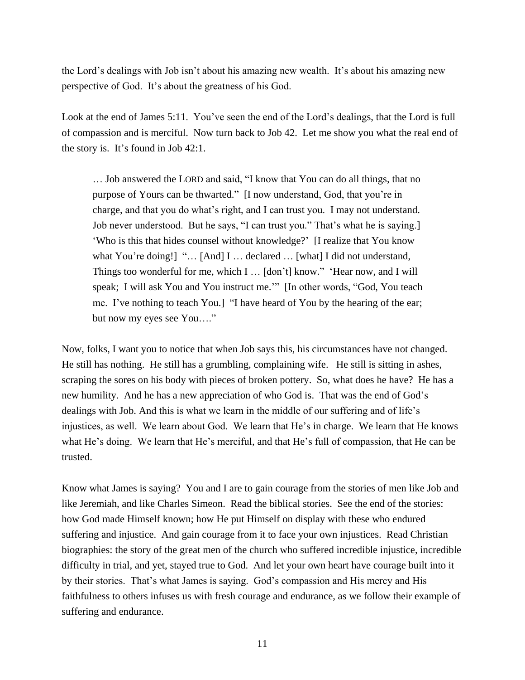the Lord's dealings with Job isn't about his amazing new wealth. It's about his amazing new perspective of God. It's about the greatness of his God.

Look at the end of James 5:11. You've seen the end of the Lord's dealings, that the Lord is full of compassion and is merciful. Now turn back to Job 42. Let me show you what the real end of the story is. It's found in Job 42:1.

… Job answered the LORD and said, "I know that You can do all things, that no purpose of Yours can be thwarted." [I now understand, God, that you're in charge, and that you do what's right, and I can trust you. I may not understand. Job never understood. But he says, "I can trust you." That's what he is saying.] 'Who is this that hides counsel without knowledge?' [I realize that You know what You're doing!] "... [And] I ... declared ... [what] I did not understand, Things too wonderful for me, which I … [don't] know." 'Hear now, and I will speak; I will ask You and You instruct me.'" [In other words, "God, You teach me. I've nothing to teach You.] "I have heard of You by the hearing of the ear; but now my eyes see You…."

Now, folks, I want you to notice that when Job says this, his circumstances have not changed. He still has nothing. He still has a grumbling, complaining wife. He still is sitting in ashes, scraping the sores on his body with pieces of broken pottery. So, what does he have? He has a new humility. And he has a new appreciation of who God is. That was the end of God's dealings with Job. And this is what we learn in the middle of our suffering and of life's injustices, as well. We learn about God. We learn that He's in charge. We learn that He knows what He's doing. We learn that He's merciful, and that He's full of compassion, that He can be trusted.

Know what James is saying? You and I are to gain courage from the stories of men like Job and like Jeremiah, and like Charles Simeon. Read the biblical stories. See the end of the stories: how God made Himself known; how He put Himself on display with these who endured suffering and injustice. And gain courage from it to face your own injustices. Read Christian biographies: the story of the great men of the church who suffered incredible injustice, incredible difficulty in trial, and yet, stayed true to God. And let your own heart have courage built into it by their stories. That's what James is saying. God's compassion and His mercy and His faithfulness to others infuses us with fresh courage and endurance, as we follow their example of suffering and endurance.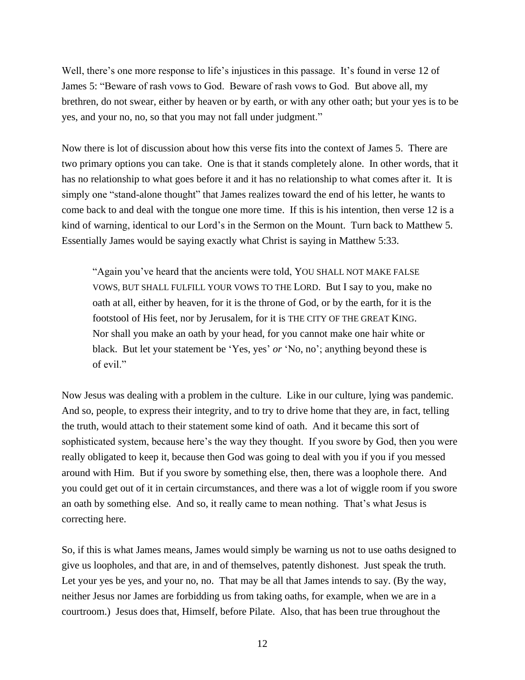Well, there's one more response to life's injustices in this passage. It's found in verse 12 of James 5: "Beware of rash vows to God. Beware of rash vows to God. But above all, my brethren, do not swear, either by heaven or by earth, or with any other oath; but your yes is to be yes, and your no, no, so that you may not fall under judgment."

Now there is lot of discussion about how this verse fits into the context of James 5. There are two primary options you can take. One is that it stands completely alone. In other words, that it has no relationship to what goes before it and it has no relationship to what comes after it. It is simply one "stand-alone thought" that James realizes toward the end of his letter, he wants to come back to and deal with the tongue one more time. If this is his intention, then verse 12 is a kind of warning, identical to our Lord's in the Sermon on the Mount. Turn back to Matthew 5. Essentially James would be saying exactly what Christ is saying in Matthew 5:33.

"Again you've heard that the ancients were told, YOU SHALL NOT MAKE FALSE VOWS, BUT SHALL FULFILL YOUR VOWS TO THE LORD. But I say to you, make no oath at all, either by heaven, for it is the throne of God, or by the earth, for it is the footstool of His feet, nor by Jerusalem, for it is THE CITY OF THE GREAT KING. Nor shall you make an oath by your head, for you cannot make one hair white or black. But let your statement be 'Yes, yes' *or* 'No, no'; anything beyond these is of evil."

Now Jesus was dealing with a problem in the culture. Like in our culture, lying was pandemic. And so, people, to express their integrity, and to try to drive home that they are, in fact, telling the truth, would attach to their statement some kind of oath. And it became this sort of sophisticated system, because here's the way they thought. If you swore by God, then you were really obligated to keep it, because then God was going to deal with you if you if you messed around with Him. But if you swore by something else, then, there was a loophole there. And you could get out of it in certain circumstances, and there was a lot of wiggle room if you swore an oath by something else. And so, it really came to mean nothing. That's what Jesus is correcting here.

So, if this is what James means, James would simply be warning us not to use oaths designed to give us loopholes, and that are, in and of themselves, patently dishonest. Just speak the truth. Let your yes be yes, and your no, no. That may be all that James intends to say. (By the way, neither Jesus nor James are forbidding us from taking oaths, for example, when we are in a courtroom.) Jesus does that, Himself, before Pilate. Also, that has been true throughout the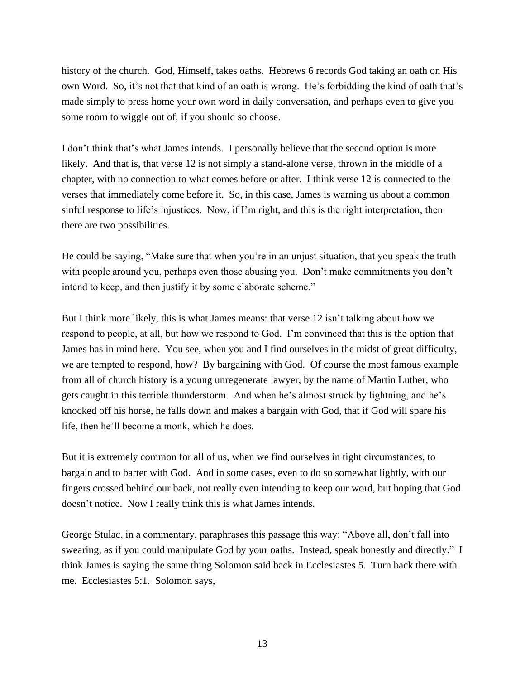history of the church. God, Himself, takes oaths. Hebrews 6 records God taking an oath on His own Word. So, it's not that that kind of an oath is wrong. He's forbidding the kind of oath that's made simply to press home your own word in daily conversation, and perhaps even to give you some room to wiggle out of, if you should so choose.

I don't think that's what James intends. I personally believe that the second option is more likely. And that is, that verse 12 is not simply a stand-alone verse, thrown in the middle of a chapter, with no connection to what comes before or after. I think verse 12 is connected to the verses that immediately come before it. So, in this case, James is warning us about a common sinful response to life's injustices. Now, if I'm right, and this is the right interpretation, then there are two possibilities.

He could be saying, "Make sure that when you're in an unjust situation, that you speak the truth with people around you, perhaps even those abusing you. Don't make commitments you don't intend to keep, and then justify it by some elaborate scheme."

But I think more likely, this is what James means: that verse 12 isn't talking about how we respond to people, at all, but how we respond to God. I'm convinced that this is the option that James has in mind here. You see, when you and I find ourselves in the midst of great difficulty, we are tempted to respond, how? By bargaining with God. Of course the most famous example from all of church history is a young unregenerate lawyer, by the name of Martin Luther, who gets caught in this terrible thunderstorm. And when he's almost struck by lightning, and he's knocked off his horse, he falls down and makes a bargain with God, that if God will spare his life, then he'll become a monk, which he does.

But it is extremely common for all of us, when we find ourselves in tight circumstances, to bargain and to barter with God. And in some cases, even to do so somewhat lightly, with our fingers crossed behind our back, not really even intending to keep our word, but hoping that God doesn't notice. Now I really think this is what James intends.

George Stulac, in a commentary, paraphrases this passage this way: "Above all, don't fall into swearing, as if you could manipulate God by your oaths. Instead, speak honestly and directly." I think James is saying the same thing Solomon said back in Ecclesiastes 5. Turn back there with me. Ecclesiastes 5:1. Solomon says,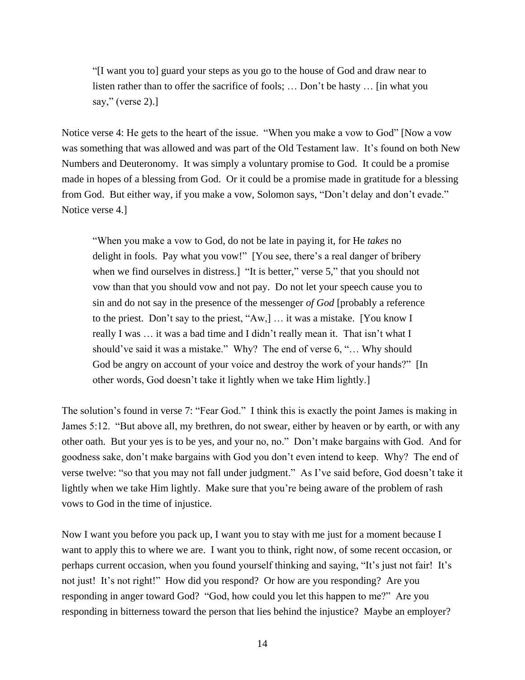"[I want you to] guard your steps as you go to the house of God and draw near to listen rather than to offer the sacrifice of fools; … Don't be hasty … [in what you say," (verse 2).]

Notice verse 4: He gets to the heart of the issue. "When you make a vow to God" [Now a vow was something that was allowed and was part of the Old Testament law. It's found on both New Numbers and Deuteronomy. It was simply a voluntary promise to God. It could be a promise made in hopes of a blessing from God. Or it could be a promise made in gratitude for a blessing from God. But either way, if you make a vow, Solomon says, "Don't delay and don't evade." Notice verse 4.]

"When you make a vow to God, do not be late in paying it, for He *takes* no delight in fools. Pay what you vow!" [You see, there's a real danger of bribery when we find ourselves in distress.] "It is better," verse 5," that you should not vow than that you should vow and not pay. Do not let your speech cause you to sin and do not say in the presence of the messenger *of God* [probably a reference to the priest. Don't say to the priest, "Aw,] … it was a mistake. [You know I really I was … it was a bad time and I didn't really mean it. That isn't what I should've said it was a mistake." Why? The end of verse 6, "… Why should God be angry on account of your voice and destroy the work of your hands?" [In other words, God doesn't take it lightly when we take Him lightly.]

The solution's found in verse 7: "Fear God." I think this is exactly the point James is making in James 5:12. "But above all, my brethren, do not swear, either by heaven or by earth, or with any other oath. But your yes is to be yes, and your no, no." Don't make bargains with God. And for goodness sake, don't make bargains with God you don't even intend to keep. Why? The end of verse twelve: "so that you may not fall under judgment." As I've said before, God doesn't take it lightly when we take Him lightly. Make sure that you're being aware of the problem of rash vows to God in the time of injustice.

Now I want you before you pack up, I want you to stay with me just for a moment because I want to apply this to where we are. I want you to think, right now, of some recent occasion, or perhaps current occasion, when you found yourself thinking and saying, "It's just not fair! It's not just! It's not right!" How did you respond? Or how are you responding? Are you responding in anger toward God? "God, how could you let this happen to me?" Are you responding in bitterness toward the person that lies behind the injustice? Maybe an employer?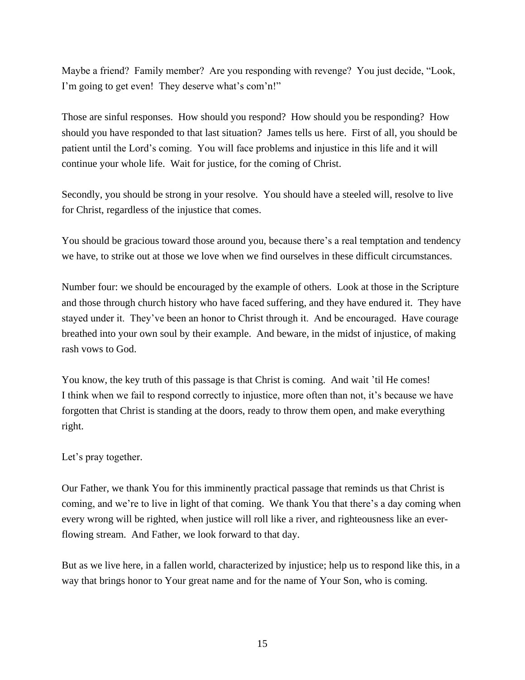Maybe a friend? Family member? Are you responding with revenge? You just decide, "Look, I'm going to get even! They deserve what's com'n!"

Those are sinful responses. How should you respond? How should you be responding? How should you have responded to that last situation? James tells us here. First of all, you should be patient until the Lord's coming. You will face problems and injustice in this life and it will continue your whole life. Wait for justice, for the coming of Christ.

Secondly, you should be strong in your resolve. You should have a steeled will, resolve to live for Christ, regardless of the injustice that comes.

You should be gracious toward those around you, because there's a real temptation and tendency we have, to strike out at those we love when we find ourselves in these difficult circumstances.

Number four: we should be encouraged by the example of others. Look at those in the Scripture and those through church history who have faced suffering, and they have endured it. They have stayed under it. They've been an honor to Christ through it. And be encouraged. Have courage breathed into your own soul by their example. And beware, in the midst of injustice, of making rash vows to God.

You know, the key truth of this passage is that Christ is coming. And wait 'til He comes! I think when we fail to respond correctly to injustice, more often than not, it's because we have forgotten that Christ is standing at the doors, ready to throw them open, and make everything right.

## Let's pray together.

Our Father, we thank You for this imminently practical passage that reminds us that Christ is coming, and we're to live in light of that coming. We thank You that there's a day coming when every wrong will be righted, when justice will roll like a river, and righteousness like an everflowing stream. And Father, we look forward to that day.

But as we live here, in a fallen world, characterized by injustice; help us to respond like this, in a way that brings honor to Your great name and for the name of Your Son, who is coming.